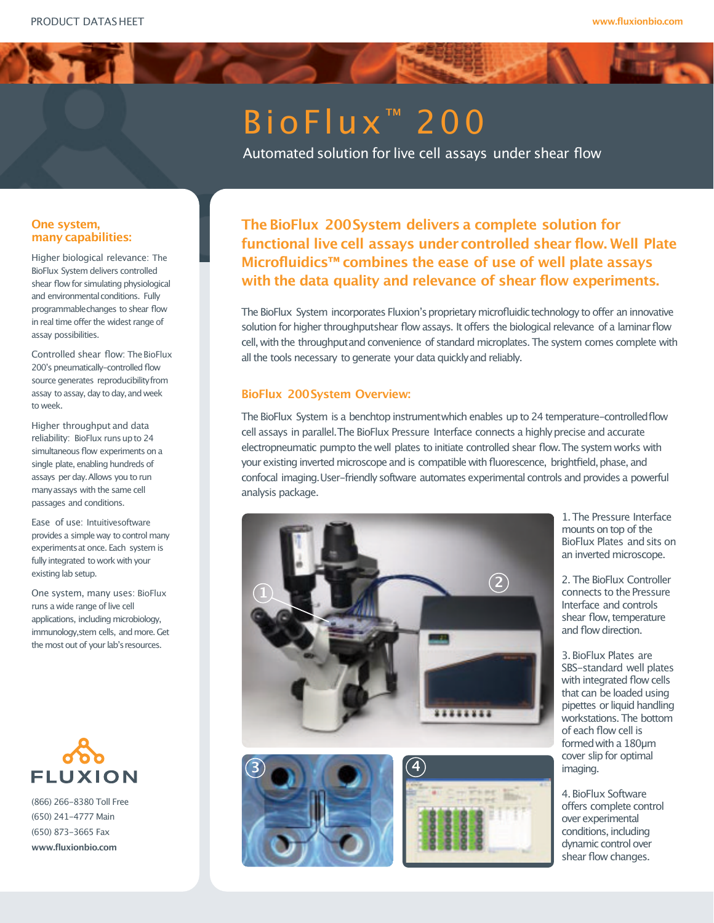# Bio Flux<sup>™</sup> 200

Automated solution for live cell assays under shear flow

# **One system, many capabilities:**

Higher biological relevance: The BioFlux System delivers controlled shear flow for simulating physiological and environmental conditions. Fully programmablechanges to shear flow in real time offer the widest range of assay possibilities.

Controlled shear flow: The BioFlux 200's pneumatically-controlled flow source generates reproducibility from assay to assay, day to day, and week to week.

Higher throughput and data reliability: BioFlux runsupto 24 simultaneous flow experiments on a single plate, enabling hundreds of assays per day.Allows you to run manyassays with the same cell passages and conditions.

Ease of use: Intuitivesoftware provides a simple way to control many experimentsat once. Each system is fully integrated to work with your existing lab setup.

One system, many uses: BioFlux runs a wide range of live cell applications, including microbiology, immunology, stem cells, and more. Get the most out of your lab's resources.



(866) 266-8380 Toll Free (650) 241-4777 Main (650) 873-3665 Fax **www.fluxionbio.com**

**The BioFlux 200System delivers a complete solution for functional live cell assays under controlled shear flow. Well Plate Microfluidics™ combines the ease of use of well plate assays with the data quality and relevance of shear flow experiments.**

The BioFlux System incorporates Fluxion's proprietary microfluidic technology to offer an innovative solution for higher throughputshear flow assays. It offers the biological relevance of a laminarflow cell, with the throughput and convenience of standard microplates. The system comes complete with all the tools necessary to generate your data quicklyand reliably.

# **BioFlux 200System Overview:**

The BioFlux System is a benchtop instrumentwhich enables up to 24 temperature-controlledflow cell assays in parallel.The BioFlux Pressure Interface connects a highlyprecise and accurate electropneumatic pumpto the well plates to initiate controlled shear flow.The system works with your existing inverted microscope and is compatible with fluorescence, brightfield, phase, and confocal imaging.User-friendly software automates experimental controls and provides a powerful analysis package.



1.The Pressure Interface mounts on top of the BioFlux Plates andsits on an inverted microscope.

2. The BioFlux Controller connects to the Pressure Interface and controls shear flow, temperature and flow direction.

3.BioFlux Plates are SBS-standard well plates with integrated flow cells that can be loaded using pipettes or liquid handling workstations. The bottom of each flow cell is formedwith a 180µm cover slip for optimal imaging.

4.BioFlux Software offers complete control over experimental conditions, including dynamic control over shear flow changes.